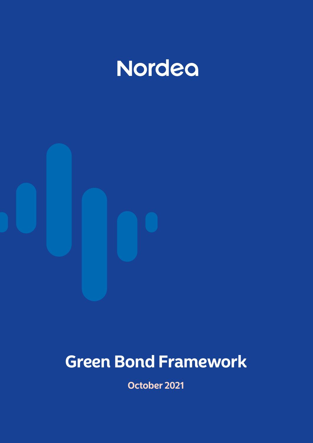



# **Green Bond Framework**

**October 2021**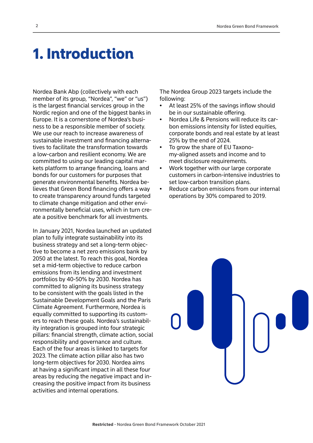### 1. Introduction

Nordea Bank Abp (collectively with each member of its group, "Nordea", "we" or "us") is the largest financial services group in the Nordic region and one of the biggest banks in Europe. It is a cornerstone of Nordea's business to be a responsible member of society. We use our reach to increase awareness of sustainable investment and financing alternatives to facilitate the transformation towards a low-carbon and resilient economy. We are committed to using our leading capital markets platform to arrange financing, loans and bonds for our customers for purposes that generate environmental benefits. Nordea believes that Green Bond financing offers a way to create transparency around funds targeted to climate change mitigation and other environmentally beneficial uses, which in turn create a positive benchmark for all investments.

In January 2021, Nordea launched an updated plan to fully integrate sustainability into its business strategy and set a long-term objective to become a net zero emissions bank by 2050 at the latest. To reach this goal, Nordea set a mid-term objective to reduce carbon emissions from its lending and investment portfolios by 40-50% by 2030. Nordea has committed to aligning its business strategy to be consistent with the goals listed in the Sustainable Development Goals and the Paris Climate Agreement. Furthermore, Nordea is equally committed to supporting its customers to reach these goals. Nordea's sustainability integration is grouped into four strategic pillars: financial strength, climate action, social responsibility and governance and culture. Each of the four areas is linked to targets for 2023. The climate action pillar also has two long-term objectives for 2030. Nordea aims at having a significant impact in all these four areas by reducing the negative impact and increasing the positive impact from its business activities and internal operations.

The Nordea Group 2023 targets include the following:

- At least 25% of the savings inflow should be in our sustainable offering.
- Nordea Life & Pensions will reduce its carbon emissions intensity for listed equities, corporate bonds and real estate by at least 25% by the end of 2024.
- To grow the share of EU Taxonomy-aligned assets and income and to meet disclosure requirements.
- Work together with our large corporate customers in carbon-intensive industries to set low-carbon transition plans.
- Reduce carbon emissions from our internal operations by 30% compared to 2019.

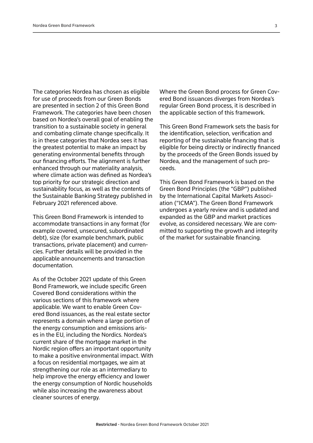The categories Nordea has chosen as eligible for use of proceeds from our Green Bonds are presented in section 2 of this Green Bond Framework. The categories have been chosen based on Nordea's overall goal of enabling the transition to a sustainable society in general and combating climate change specifically. It is in these categories that Nordea sees it has the greatest potential to make an impact by generating environmental benefits through our financing efforts. The alignment is further enhanced through our materiality analysis, where climate action was defined as Nordea's top priority for our strategic direction and sustainability focus, as well as the contents of the Sustainable Banking Strategy published in February 2021 referenced above.

This Green Bond Framework is intended to accommodate transactions in any format (for example covered, unsecured, subordinated debt), size (for example benchmark, public transactions, private placement) and currencies. Further details will be provided in the applicable announcements and transaction documentation.

As of the October 2021 update of this Green Bond Framework, we include specific Green Covered Bond considerations within the various sections of this framework where applicable. We want to enable Green Covered Bond issuances, as the real estate sector represents a domain where a large portion of the energy consumption and emissions arises in the EU, including the Nordics. Nordea's current share of the mortgage market in the Nordic region offers an important opportunity to make a positive environmental impact. With a focus on residential mortgages, we aim at strengthening our role as an intermediary to help improve the energy efficiency and lower the energy consumption of Nordic households while also increasing the awareness about cleaner sources of energy.

Where the Green Bond process for Green Covered Bond issuances diverges from Nordea's regular Green Bond process, it is described in the applicable section of this framework.

This Green Bond Framework sets the basis for the identification, selection, verification and reporting of the sustainable financing that is eligible for being directly or indirectly financed by the proceeds of the Green Bonds issued by Nordea, and the management of such proceeds.

This Green Bond Framework is based on the Green Bond Principles (the "GBP") published by the International Capital Markets Association ("ICMA"). The Green Bond Framework undergoes a yearly review and is updated and expanded as the GBP and market practices evolve, as considered necessary. We are committed to supporting the growth and integrity of the market for sustainable financing.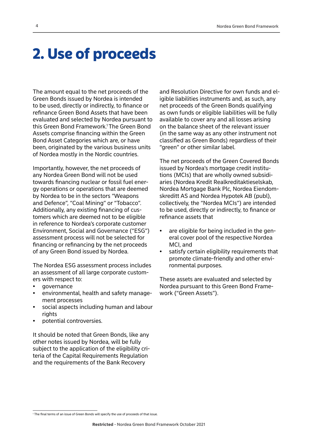### 2. Use of proceeds

The amount equal to the net proceeds of the Green Bonds issued by Nordea is intended to be used, directly or indirectly, to finance or refinance Green Bond Assets that have been evaluated and selected by Nordea pursuant to this Green Bond Framework.1 The Green Bond Assets comprise financing within the Green Bond Asset Categories which are, or have been, originated by the various business units of Nordea mostly in the Nordic countries.

Importantly, however, the net proceeds of any Nordea Green Bond will not be used towards financing nuclear or fossil fuel energy operations or operations that are deemed by Nordea to be in the sectors "Weapons and Defence", "Coal Mining" or "Tobacco". Additionally, any existing financing of customers which are deemed not to be eligible in reference to Nordea's corporate customer Environment, Social and Governance ("ESG") assessment process will not be selected for financing or refinancing by the net proceeds of any Green Bond issued by Nordea.

The Nordea ESG assessment process includes an assessment of all large corporate customers with respect to:

- governance
- environmental, health and safety management processes
- social aspects including human and labour rights
- potential controversies.

It should be noted that Green Bonds, like any other notes issued by Nordea, will be fully subject to the application of the eligibility criteria of the Capital Requirements Regulation and the requirements of the Bank Recovery

and Resolution Directive for own funds and eligible liabilities instruments and, as such, any net proceeds of the Green Bonds qualifying as own funds or eligible liabilities will be fully available to cover any and all losses arising on the balance sheet of the relevant issuer (in the same way as any other instrument not classified as Green Bonds) regardless of their "green" or other similar label.

The net proceeds of the Green Covered Bonds issued by Nordea's mortgage credit institutions (MCIs) that are wholly owned subsidiaries (Nordea Kredit Realkreditaktieselskab, Nordea Mortgage Bank Plc, Nordea Eiendomskreditt AS and Nordea Hypotek AB (publ), collectively, the "Nordea MCIs") are intended to be used, directly or indirectly, to finance or refinance assets that

- are eligible for being included in the general cover pool of the respective Nordea MCI, and
- satisfy certain eligibility requirements that promote climate-friendly and other environmental purposes.

These assets are evaluated and selected by Nordea pursuant to this Green Bond Framework ("Green Assets").

<sup>1</sup> The final terms of an issue of Green Bonds will specify the use of proceeds of that issue.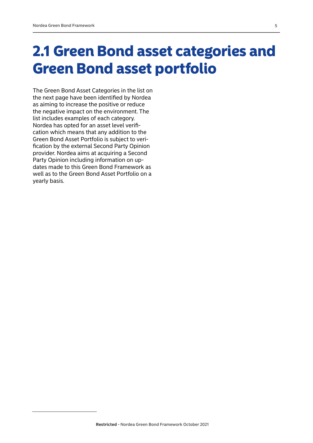## 2.1 Green Bond asset categories and Green Bond asset portfolio

The Green Bond Asset Categories in the list on the next page have been identified by Nordea as aiming to increase the positive or reduce the negative impact on the environment. The list includes examples of each category. Nordea has opted for an asset level verification which means that any addition to the Green Bond Asset Portfolio is subject to verification by the external Second Party Opinion provider. Nordea aims at acquiring a Second Party Opinion including information on updates made to this Green Bond Framework as well as to the Green Bond Asset Portfolio on a yearly basis.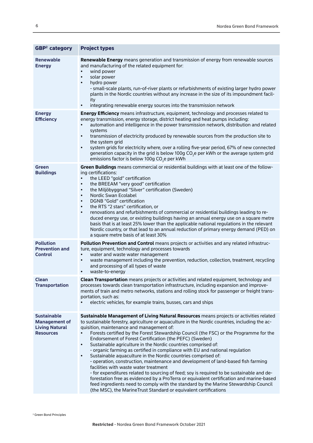| <b>GBP<sup>2</sup></b> category                                                         | <b>Project types</b>                                                                                                                                                                                                                                                                                                                                                                                                                                                                                                                                                                                                                                                                                                                                                                                                                                                                                                                                                                                                                                                                                                                   |  |  |  |  |
|-----------------------------------------------------------------------------------------|----------------------------------------------------------------------------------------------------------------------------------------------------------------------------------------------------------------------------------------------------------------------------------------------------------------------------------------------------------------------------------------------------------------------------------------------------------------------------------------------------------------------------------------------------------------------------------------------------------------------------------------------------------------------------------------------------------------------------------------------------------------------------------------------------------------------------------------------------------------------------------------------------------------------------------------------------------------------------------------------------------------------------------------------------------------------------------------------------------------------------------------|--|--|--|--|
| <b>Renewable</b><br><b>Energy</b>                                                       | Renewable Energy means generation and transmission of energy from renewable sources<br>and manufacturing of the related equipment for:<br>wind power<br>$\bullet$<br>solar power<br>$\bullet$<br>hydro power<br>٠<br>- small-scale plants, run-of-river plants or refurbishments of existing larger hydro power<br>plants in the Nordic countries without any increase in the size of its impoundment facil-<br>ity<br>integrating renewable energy sources into the transmission network<br>$\bullet$                                                                                                                                                                                                                                                                                                                                                                                                                                                                                                                                                                                                                                 |  |  |  |  |
| <b>Energy</b><br><b>Efficiency</b>                                                      | <b>Energy Efficiency</b> means infrastructure, equipment, technology and processes related to                                                                                                                                                                                                                                                                                                                                                                                                                                                                                                                                                                                                                                                                                                                                                                                                                                                                                                                                                                                                                                          |  |  |  |  |
|                                                                                         | energy transmission, energy storage, district heating and heat pumps including:<br>automation and intelligence in the power transmission network, distribution and related<br>$\bullet$<br>systems<br>transmission of electricity produced by renewable sources from the production site to<br>$\bullet$<br>the system grid<br>system grids for electricity where, over a rolling five-year period, 67% of new connected<br>$\bullet$<br>generation capacity in the grid is below 100g CO <sub>2</sub> e per kWh or the average system grid<br>emissions factor is below 100g CO <sub>2</sub> e per kWh                                                                                                                                                                                                                                                                                                                                                                                                                                                                                                                                |  |  |  |  |
| <b>Green</b><br><b>Buildings</b>                                                        | Green Buildings means commercial or residential buildings with at least one of the follow-<br>ing certifications:                                                                                                                                                                                                                                                                                                                                                                                                                                                                                                                                                                                                                                                                                                                                                                                                                                                                                                                                                                                                                      |  |  |  |  |
|                                                                                         | the LEED "gold" certification<br>$\bullet$<br>the BREEAM "very good" certification<br>$\bullet$<br>the Miljöbyggnad "Silver" certification (Sweden)<br>$\bullet$<br>Nordic Swan Ecolabel<br>$\bullet$<br>DGNB "Gold" certification<br>$\bullet$<br>the RTS "2 stars" certification, or<br>$\bullet$<br>renovations and refurbishments of commercial or residential buildings leading to re-<br>$\bullet$<br>duced energy use, or existing buildings having an annual energy use on a square metre<br>basis that is at least 25% lower than the applicable national regulations in the relevant<br>Nordic country, or that lead to an annual reduction of primary energy demand (PED) on<br>a square metre basis of at least 30%                                                                                                                                                                                                                                                                                                                                                                                                        |  |  |  |  |
| <b>Pollution</b><br><b>Prevention and</b>                                               | Pollution Prevention and Control means projects or activities and any related infrastruc-<br>ture, equipment, technology and processes towards                                                                                                                                                                                                                                                                                                                                                                                                                                                                                                                                                                                                                                                                                                                                                                                                                                                                                                                                                                                         |  |  |  |  |
| <b>Control</b>                                                                          | water and waste water management<br>waste management including the prevention, reduction, collection, treatment, recycling<br>$\bullet$<br>and processing of all types of waste<br>waste-to-energy                                                                                                                                                                                                                                                                                                                                                                                                                                                                                                                                                                                                                                                                                                                                                                                                                                                                                                                                     |  |  |  |  |
| <b>Clean</b><br><b>Transportation</b>                                                   | Clean Transportation means projects or activities and related equipment, technology and<br>processes towards clean transportation infrastructure, including expansion and improve-                                                                                                                                                                                                                                                                                                                                                                                                                                                                                                                                                                                                                                                                                                                                                                                                                                                                                                                                                     |  |  |  |  |
|                                                                                         | ments of train and metro networks, stations and rolling stock for passenger or freight trans-<br>portation, such as:                                                                                                                                                                                                                                                                                                                                                                                                                                                                                                                                                                                                                                                                                                                                                                                                                                                                                                                                                                                                                   |  |  |  |  |
|                                                                                         | electric vehicles, for example trains, busses, cars and ships                                                                                                                                                                                                                                                                                                                                                                                                                                                                                                                                                                                                                                                                                                                                                                                                                                                                                                                                                                                                                                                                          |  |  |  |  |
| <b>Sustainable</b><br><b>Management of</b><br><b>Living Natural</b><br><b>Resources</b> | Sustainable Management of Living Natural Resources means projects or activities related<br>to sustainable forestry, agriculture or aquaculture in the Nordic countries, including the ac-<br>quisition, maintenance and management of:<br>Forests certified by the Forest Stewardship Council (the FSC) or the Programme for the<br>$\bullet$<br>Endorsement of Forest Certification (the PEFC) (Sweden)<br>Sustainable agriculture in the Nordic countries comprised of:<br>$\bullet$<br>- organic farming as certified in compliance with EU and national regulation<br>Sustainable aquaculture in the Nordic countries comprised of:<br>$\bullet$<br>- operation, construction, maintenance and development of land-based fish farming<br>facilities with waste water treatment<br>- for expenditures related to sourcing of feed; soy is required to be sustainable and de-<br>forestation free as evidenced by a ProTerra or equivalent certification and marine-based<br>feed ingredients need to comply with the standard by the Marine Stewardship Council<br>(the MSC), the MarineTrust Standard or equivalent certifications |  |  |  |  |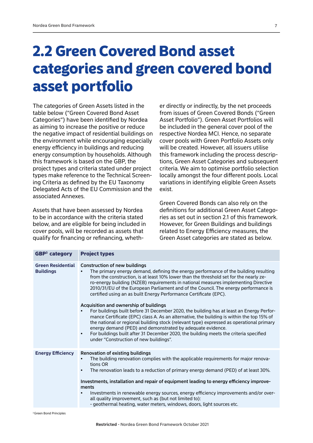## 2.2 Green Covered Bond asset categories and green covered bond asset portfolio

The categories of Green Assets listed in the table below ("Green Covered Bond Asset Categories") have been identified by Nordea as aiming to increase the positive or reduce the negative impact of residential buildings on the environment while encouraging especially energy efficiency in buildings and reducing energy consumption by households. Although this framework is based on the GBP, the project types and criteria stated under project types make reference to the Technical Screening Criteria as defined by the EU Taxonomy Delegated Acts of the EU Commission and the associated Annexes.

Assets that have been assessed by Nordea to be in accordance with the criteria stated below, and are eligible for being included in cover pools, will be recorded as assets that qualify for financing or refinancing, whether directly or indirectly, by the net proceeds from issues of Green Covered Bonds ("Green Asset Portfolio"). Green Asset Portfolios will be included in the general cover pool of the respective Nordea MCI. Hence, no separate cover pools with Green Portfolio Assets only will be created. However, all issuers utilise this framework including the process descriptions, Green Asset Categories and subsequent criteria. We aim to optimise portfolio selection locally amongst the four different pools. Local variations in identifying eligible Green Assets exist.

Green Covered Bonds can also rely on the definitions for additional Green Asset Categories as set out in section 2.1 of this framework. However, for Green Buildings and buildings related to Energy Efficiency measures, the Green Asset categories are stated as below.

| <b>Project types</b>                                                                                                                                                                                                                                                                                                                                                                                                                                                                                                                                                                        |  |  |  |
|---------------------------------------------------------------------------------------------------------------------------------------------------------------------------------------------------------------------------------------------------------------------------------------------------------------------------------------------------------------------------------------------------------------------------------------------------------------------------------------------------------------------------------------------------------------------------------------------|--|--|--|
| <b>Construction of new buildings</b><br>The primary energy demand, defining the energy performance of the building resulting<br>from the construction, is at least 10% lower than the threshold set for the nearly ze-<br>ro-energy building (NZEB) requirements in national measures implementing Directive<br>2010/31/EU of the European Parliament and of the Council. The energy performance is<br>certified using an as built Energy Performance Certificate (EPC).                                                                                                                    |  |  |  |
| Acquisition and ownership of buildings<br>For buildings built before 31 December 2020, the building has at least an Energy Perfor-<br>mance Certificate (EPC) class A. As an alternative, the building is within the top 15% of<br>the national or regional building stock (relevant type) expressed as operational primary<br>energy demand (PED) and demonstrated by adequate evidence.<br>For buildings built after 31 December 2020, the building meets the criteria specified<br>$\bullet$<br>under "Construction of new buildings".                                                   |  |  |  |
| <b>Renovation of existing buildings</b><br>The building renovation complies with the applicable requirements for major renova-<br>$\bullet$<br>tions OR<br>The renovation leads to a reduction of primary energy demand (PED) of at least 30%.<br>$\bullet$<br>Investments, installation and repair of equipment leading to energy efficiency improve-<br>ments<br>Investments in renewable energy sources, energy efficiency improvements and/or over-<br>all quality improvement, such as (but not limited to):<br>- geothermal heating, water meters, windows, doors, light sources etc. |  |  |  |
|                                                                                                                                                                                                                                                                                                                                                                                                                                                                                                                                                                                             |  |  |  |

<sup>3</sup> Green Bond Principles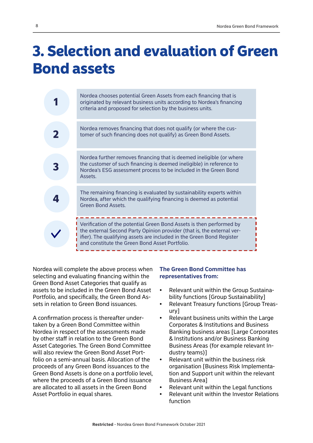## 3. Selection and evaluation of Green Bond assets

| Nordea chooses potential Green Assets from each financing that is<br>originated by relevant business units according to Nordea's financing<br>criteria and proposed for selection by the business units.                                                                  |
|---------------------------------------------------------------------------------------------------------------------------------------------------------------------------------------------------------------------------------------------------------------------------|
| Nordea removes financing that does not qualify (or where the cus-<br>tomer of such financing does not qualify) as Green Bond Assets.                                                                                                                                      |
| Nordea further removes financing that is deemed ineligible (or where<br>the customer of such financing is deemed ineligible) in reference to<br>Nordea's ESG assessment process to be included in the Green Bond<br>Assets.                                               |
| The remaining financing is evaluated by sustainability experts within<br>Nordea, after which the qualifying financing is deemed as potential<br>Green Bond Assets                                                                                                         |
| Verification of the potential Green Bond Assets is then performed by<br>the external Second Party Opinion provider (that is, the external ver-<br>ifier). The qualifying assets are included in the Green Bond Register<br>and constitute the Green Bond Asset Portfolio. |

Nordea will complete the above process when selecting and evaluating financing within the Green Bond Asset Categories that qualify as assets to be included in the Green Bond Asset Portfolio, and specifically, the Green Bond Assets in relation to Green Bond issuances.

A confirmation process is thereafter undertaken by a Green Bond Committee within Nordea in respect of the assessments made by other staff in relation to the Green Bond Asset Categories. The Green Bond Committee will also review the Green Bond Asset Portfolio on a semi-annual basis. Allocation of the proceeds of any Green Bond issuances to the Green Bond Assets is done on a portfolio level, where the proceeds of a Green Bond issuance are allocated to all assets in the Green Bond Asset Portfolio in equal shares.

#### **The Green Bond Committee has representatives from:**

- Relevant unit within the Group Sustainability functions [Group Sustainability]
- Relevant Treasury functions [Group Treasury]
- Relevant business units within the Large Corporates & Institutions and Business Banking business areas [Large Corporates & Institutions and/or Business Banking Business Areas (for example relevant Industry teams)]
- Relevant unit within the business risk organisation [Business Risk Implementation and Support unit within the relevant Business Area]
- Relevant unit within the Legal functions
- Relevant unit within the Investor Relations function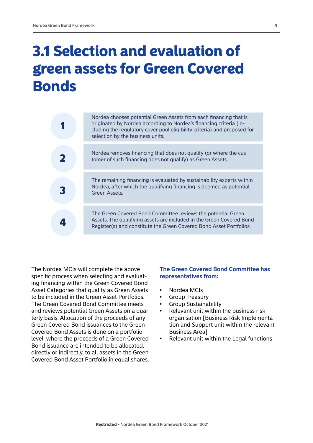## 3.1 Selection and evaluation of green assets for Green Covered **Bonds**

| Nordea chooses potential Green Assets from each financing that is<br>originated by Nordea according to Nordea's financing criteria (in-<br>cluding the regulatory cover pool eligibility criteria) and proposed for<br>selection by the business units. |
|---------------------------------------------------------------------------------------------------------------------------------------------------------------------------------------------------------------------------------------------------------|
| Nordea removes financing that does not qualify (or where the cus-<br>tomer of such financing does not qualify) as Green Assets.                                                                                                                         |
| The remaining financing is evaluated by sustainability experts within<br>Nordea, after which the qualifying financing is deemed as potential<br>Green Assets.                                                                                           |
| The Green Covered Bond Committee reviews the potential Green<br>Assets. The qualifying assets are included in the Green Covered Bond<br>Register(s) and constitute the Green Covered Bond Asset Portfolios.                                             |
|                                                                                                                                                                                                                                                         |

The Nordea MCIs will complete the above specific process when selecting and evaluating financing within the Green Covered Bond Asset Categories that qualify as Green Assets to be included in the Green Asset Portfolios. The Green Covered Bond Committee meets and reviews potential Green Assets on a quarterly basis. Allocation of the proceeds of any Green Covered Bond issuances to the Green Covered Bond Assets is done on a portfolio level, where the proceeds of a Green Covered Bond issuance are intended to be allocated, directly or indirectly, to all assets in the Green Covered Bond Asset Portfolio in equal shares.

#### **The Green Covered Bond Committee has representatives from:**

- Nordea MCIs
- Group Treasury
- Group Sustainability
- Relevant unit within the business risk organisation [Business Risk Implementation and Support unit within the relevant Business Area]
- Relevant unit within the Legal functions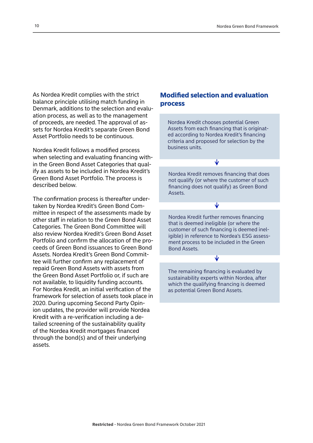As Nordea Kredit complies with the strict balance principle utilising match funding in Denmark, additions to the selection and evaluation process, as well as to the management of proceeds, are needed. The approval of assets for Nordea Kredit's separate Green Bond Asset Portfolio needs to be continuous.

Nordea Kredit follows a modified process when selecting and evaluating financing within the Green Bond Asset Categories that qualify as assets to be included in Nordea Kredit's Green Bond Asset Portfolio. The process is described below.

The confirmation process is thereafter undertaken by Nordea Kredit's Green Bond Committee in respect of the assessments made by other staff in relation to the Green Bond Asset Categories. The Green Bond Committee will also review Nordea Kredit's Green Bond Asset Portfolio and confirm the allocation of the proceeds of Green Bond issuances to Green Bond Assets. Nordea Kredit's Green Bond Committee will further confirm any replacement of repaid Green Bond Assets with assets from the Green Bond Asset Portfolio or, if such are not available, to liquidity funding accounts. For Nordea Kredit, an initial verification of the framework for selection of assets took place in 2020. During upcoming Second Party Opinion updates, the provider will provide Nordea Kredit with a re-verification including a detailed screening of the sustainability quality of the Nordea Kredit mortgages financed through the bond(s) and of their underlying assets.

#### Modified selection and evaluation process

Nordea Kredit chooses potential Green Assets from each financing that is originated according to Nordea Kredit's financing criteria and proposed for selection by the business units.

₩

Nordea Kredit removes financing that does not qualify (or where the customer of such financing does not qualify) as Green Bond Assets.

∿

Nordea Kredit further removes financing that is deemed ineligible (or where the customer of such financing is deemed ineligible) in reference to Nordea's ESG assessment process to be included in the Green Bond Assets.

The remaining financing is evaluated by sustainability experts within Nordea, after which the qualifying financing is deemed as potential Green Bond Assets.

₩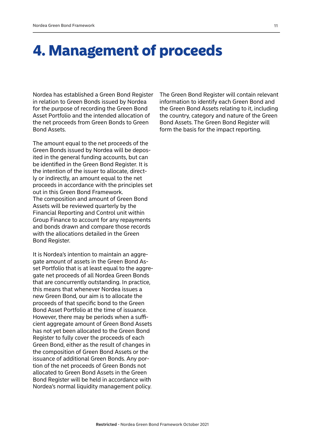### 4. Management of proceeds

Nordea has established a Green Bond Register in relation to Green Bonds issued by Nordea for the purpose of recording the Green Bond Asset Portfolio and the intended allocation of the net proceeds from Green Bonds to Green Bond Assets.

The amount equal to the net proceeds of the Green Bonds issued by Nordea will be deposited in the general funding accounts, but can be identified in the Green Bond Register. It is the intention of the issuer to allocate, directly or indirectly, an amount equal to the net proceeds in accordance with the principles set out in this Green Bond Framework. The composition and amount of Green Bond Assets will be reviewed quarterly by the Financial Reporting and Control unit within Group Finance to account for any repayments and bonds drawn and compare those records with the allocations detailed in the Green Bond Register.

It is Nordea's intention to maintain an aggregate amount of assets in the Green Bond Asset Portfolio that is at least equal to the aggregate net proceeds of all Nordea Green Bonds that are concurrently outstanding. In practice, this means that whenever Nordea issues a new Green Bond, our aim is to allocate the proceeds of that specific bond to the Green Bond Asset Portfolio at the time of issuance. However, there may be periods when a sufficient aggregate amount of Green Bond Assets has not yet been allocated to the Green Bond Register to fully cover the proceeds of each Green Bond, either as the result of changes in the composition of Green Bond Assets or the issuance of additional Green Bonds. Any portion of the net proceeds of Green Bonds not allocated to Green Bond Assets in the Green Bond Register will be held in accordance with Nordea's normal liquidity management policy.

The Green Bond Register will contain relevant information to identify each Green Bond and the Green Bond Assets relating to it, including the country, category and nature of the Green Bond Assets. The Green Bond Register will form the basis for the impact reporting.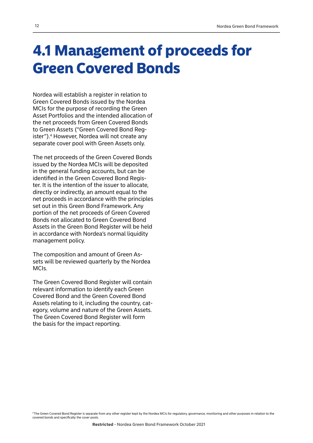## 4.1 Management of proceeds for Green Covered Bonds

Nordea will establish a register in relation to Green Covered Bonds issued by the Nordea MCIs for the purpose of recording the Green Asset Portfolios and the intended allocation of the net proceeds from Green Covered Bonds to Green Assets ("Green Covered Bond Register").4 However, Nordea will not create any separate cover pool with Green Assets only.

The net proceeds of the Green Covered Bonds issued by the Nordea MCIs will be deposited in the general funding accounts, but can be identified in the Green Covered Bond Register. It is the intention of the issuer to allocate, directly or indirectly, an amount equal to the net proceeds in accordance with the principles set out in this Green Bond Framework. Any portion of the net proceeds of Green Covered Bonds not allocated to Green Covered Bond Assets in the Green Bond Register will be held in accordance with Nordea's normal liquidity management policy.

The composition and amount of Green Assets will be reviewed quarterly by the Nordea MCIs.

The Green Covered Bond Register will contain relevant information to identify each Green Covered Bond and the Green Covered Bond Assets relating to it, including the country, category, volume and nature of the Green Assets. The Green Covered Bond Register will form the basis for the impact reporting.

4 The Green Covered Bond Register is separate from any other register kept by the Nordea MCIs for regulatory, governance, monitoring and other purposes in relation to the covered bonds and specifically the cover pools.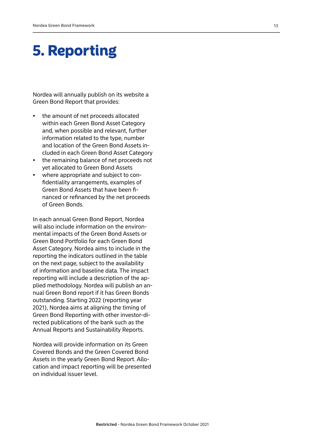## 5. Reporting

Nordea will annually publish on its website a Green Bond Report that provides:

- the amount of net proceeds allocated within each Green Bond Asset Category and, when possible and relevant, further information related to the type, number and location of the Green Bond Assets in cluded in each Green Bond Asset Category
- the remaining balance of net proceeds not yet allocated to Green Bond Assets
- where appropriate and subject to con fidentiality arrangements, examples of Green Bond Assets that have been fi nanced or refinanced by the net proceeds of Green Bonds.

In each annual Green Bond Report, Nordea will also include information on the environ mental impacts of the Green Bond Assets or Green Bond Portfolio for each Green Bond Asset Category. Nordea aims to include in the reporting the indicators outlined in the table on the next page, subject to the availability of information and baseline data. The impact reporting will include a description of the ap plied methodology. Nordea will publish an an nual Green Bond report if it has Green Bonds outstanding. Starting 2022 (reporting year 2021), Nordea aims at aligning the timing of Green Bond Reporting with other investor-di rected publications of the bank such as the Annual Reports and Sustainability Reports.

Nordea will provide information on its Green Covered Bonds and the Green Covered Bond Assets in the yearly Green Bond Report. Allo cation and impact reporting will be presented on individual issuer level.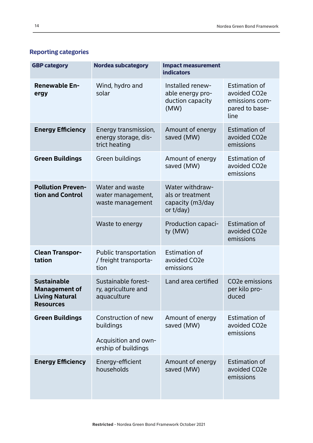|  | <b>Reporting categories</b> |
|--|-----------------------------|
|--|-----------------------------|

| <b>GBP category</b>                                                                     | Nordea subcategory                                                              | <b>Impact measurement</b><br><b>indicators</b>                          |                                                                                  |
|-----------------------------------------------------------------------------------------|---------------------------------------------------------------------------------|-------------------------------------------------------------------------|----------------------------------------------------------------------------------|
| <b>Renewable En-</b><br>ergy                                                            | Wind, hydro and<br>solar                                                        | Installed renew-<br>able energy pro-<br>duction capacity<br>(MW)        | <b>Estimation of</b><br>avoided CO2e<br>emissions com-<br>pared to base-<br>line |
| <b>Energy Efficiency</b>                                                                | Energy transmission,<br>energy storage, dis-<br>trict heating                   | Amount of energy<br>saved (MW)                                          | <b>Estimation of</b><br>avoided CO2e<br>emissions                                |
| <b>Green Buildings</b>                                                                  | Green buildings                                                                 | Amount of energy<br>saved (MW)                                          | <b>Estimation of</b><br>avoided CO2e<br>emissions                                |
| <b>Pollution Preven-</b><br>tion and Control                                            | Water and waste<br>water management,<br>waste management                        | Water withdraw-<br>als or treatment<br>capacity (m3/day<br>or $t$ /day) |                                                                                  |
|                                                                                         | Waste to energy                                                                 | Production capaci-<br>ty (MW)                                           | <b>Estimation of</b><br>avoided CO2e<br>emissions                                |
| <b>Clean Transpor-</b><br>tation                                                        | <b>Public transportation</b><br>/ freight transporta-<br>tion                   | <b>Estimation of</b><br>avoided CO <sub>2</sub> e<br>emissions          |                                                                                  |
| <b>Sustainable</b><br><b>Management of</b><br><b>Living Natural</b><br><b>Resources</b> | Sustainable forest-<br>ry, agriculture and<br>aquaculture                       | Land area certified                                                     | CO <sub>2</sub> e emissions<br>per kilo pro-<br>duced                            |
| <b>Green Buildings</b>                                                                  | Construction of new<br>buildings<br>Acquisition and own-<br>ership of buildings | Amount of energy<br>saved (MW)                                          | <b>Estimation of</b><br>avoided CO <sub>2</sub> e<br>emissions                   |
| <b>Energy Efficiency</b>                                                                | Energy-efficient<br>households                                                  | Amount of energy<br>saved (MW)                                          | <b>Estimation of</b><br>avoided CO <sub>2</sub> e<br>emissions                   |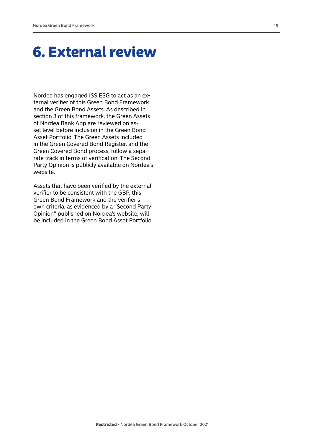## 6. External review

Nordea has engaged ISS ESG to act as an external verifier of this Green Bond Framework and the Green Bond Assets. As described in section 3 of this framework, the Green Assets of Nordea Bank Abp are reviewed on asset level before inclusion in the Green Bond Asset Portfolio. The Green Assets included in the Green Covered Bond Register, and the Green Covered Bond process, follow a separate track in terms of verification. The Second Party Opinion is publicly available on Nordea's website.

Assets that have been verified by the external verifier to be consistent with the GBP, this Green Bond Framework and the verifier's own criteria, as evidenced by a "Second Party Opinion" published on Nordea's website, will be included in the Green Bond Asset Portfolio.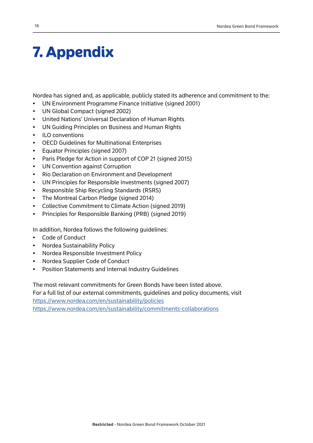## 7. Appendix

Nordea has signed and, as applicable, publicly stated its adherence and commitment to the:

- UN Environment Programme Finance Initiative (signed 2001)
- UN Global Compact (signed 2002)
- United Nations' Universal Declaration of Human Rights
- UN Guiding Principles on Business and Human Rights
- ILO conventions
- OECD Guidelines for Multinational Enterprises
- Equator Principles (signed 2007)
- Paris Pledge for Action in support of COP 21 (signed 2015)
- UN Convention against Corruption
- Rio Declaration on Environment and Development
- UN Principles for Responsible Investments (signed 2007)
- Responsible Ship Recycling Standards (RSRS)
- The Montreal Carbon Pledge (signed 2014)
- Collective Commitment to Climate Action (signed 2019)
- Principles for Responsible Banking (PRB) (signed 2019)

In addition, Nordea follows the following guidelines:

- Code of Conduct
- Nordea Sustainability Policy
- Nordea Responsible Investment Policy
- Nordea Supplier Code of Conduct
- Position Statements and Internal Industry Guidelines

The most relevant commitments for Green Bonds have been listed above. For a full list of our external commitments, guidelines and policy documents, visit <https://www.nordea.com/en/sustainability/policies> <https://www.nordea.com/en/sustainability/commitments-collaborations>